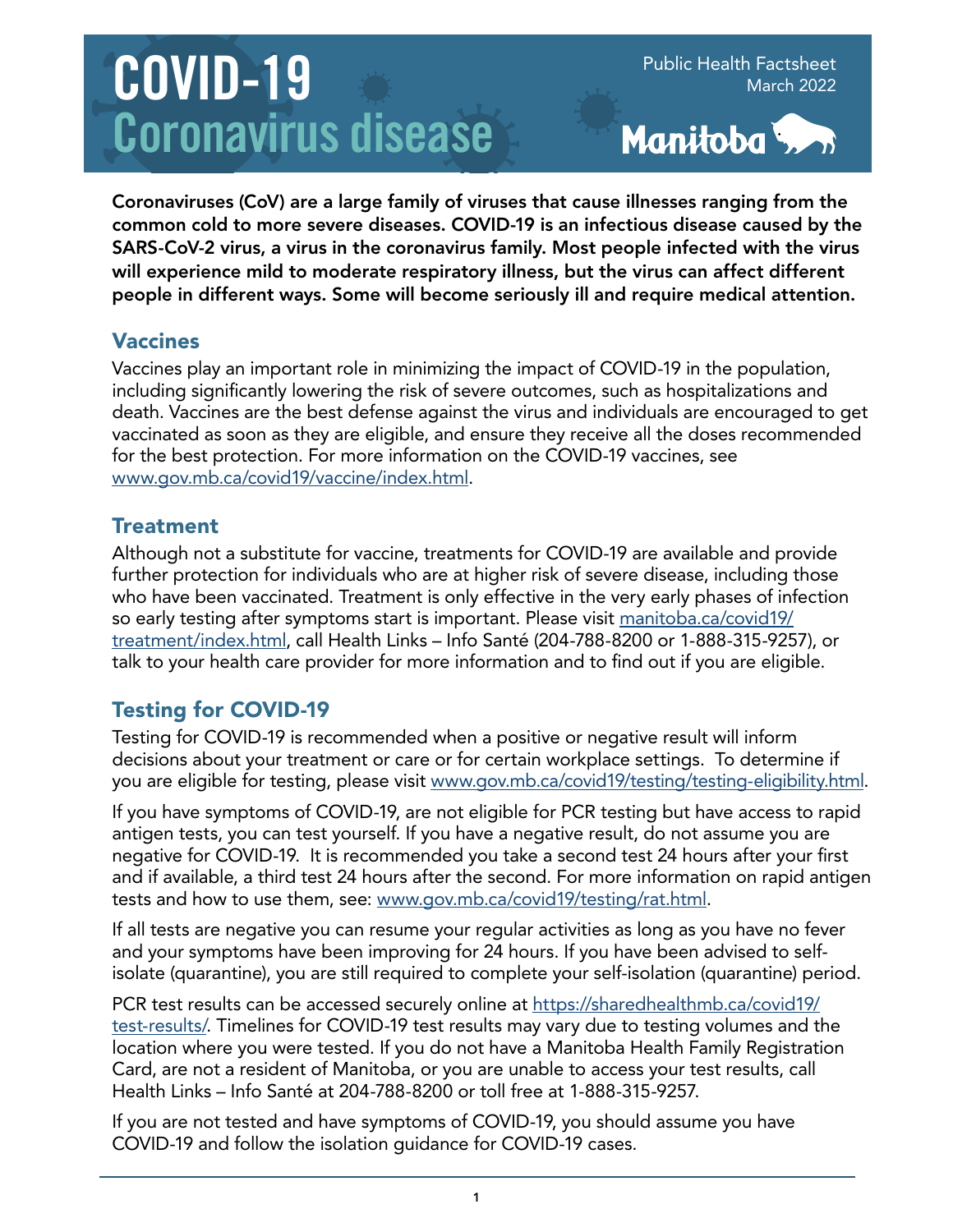# COVID-19 Coronavirus disease

Public Health Factsheet March 2022



Coronaviruses (CoV) are a large family of viruses that cause illnesses ranging from the common cold to more severe diseases. COVID-19 is an infectious disease caused by the SARS-CoV-2 virus, a virus in the coronavirus family. Most people infected with the virus will experience mild to moderate respiratory illness, but the virus can affect different people in different ways. Some will become seriously ill and require medical attention.

#### Vaccines

Vaccines play an important role in minimizing the impact of COVID-19 in the population, including significantly lowering the risk of severe outcomes, such as hospitalizations and death. Vaccines are the best defense against the virus and individuals are encouraged to get vaccinated as soon as they are eligible, and ensure they receive all the doses recommended for the best protection. For more information on the COVID-19 vaccines, see [www.gov.mb.ca/covid19/vaccine/index.html.](http://www.gov.mb.ca/covid19/vaccine/index.html)

### **Treatment**

Although not a substitute for vaccine, treatments for COVID-19 are available and provide further protection for individuals who are at higher risk of severe disease, including those who have been vaccinated. Treatment is only effective in the very early phases of infection so early testing after symptoms start is important. Please visit [manitoba.ca/covid19/](http://manitoba.ca/covid19/treatment/index.html) [treatment/index.html,](http://manitoba.ca/covid19/treatment/index.html) call Health Links – Info Santé (204-788-8200 or 1-888-315-9257), or talk to your health care provider for more information and to find out if you are eligible.

# Testing for COVID-19

Testing for COVID-19 is recommended when a positive or negative result will inform decisions about your treatment or care or for certain workplace settings. To determine if you are eligible for testing, please visit [www.gov.mb.ca/covid19/testing/testing-eligibility.html](http://www.gov.mb.ca/covid19/testing/testing-eligibility.html).

If you have symptoms of COVID-19, are not eligible for PCR testing but have access to rapid antigen tests, you can test yourself. If you have a negative result, do not assume you are negative for COVID-19. It is recommended you take a second test 24 hours after your first and if available, a third test 24 hours after the second. For more information on rapid antigen tests and how to use them, see: [www.gov.mb.ca/covid19/testing/rat.html.](http://www.gov.mb.ca/covid19/testing/rat.html)

If all tests are negative you can resume your regular activities as long as you have no fever and your symptoms have been improving for 24 hours. If you have been advised to selfisolate (quarantine), you are still required to complete your self-isolation (quarantine) period.

PCR test results can be accessed securely online at [https://sharedhealthmb.ca/covid19/](https://sharedhealthmb.ca/covid19/test-results/) [test-results/.](https://sharedhealthmb.ca/covid19/test-results/) Timelines for COVID-19 test results may vary due to testing volumes and the location where you were tested. If you do not have a Manitoba Health Family Registration Card, are not a resident of Manitoba, or you are unable to access your test results, call Health Links – Info Santé at 204-788-8200 or toll free at 1-888-315-9257.

If you are not tested and have symptoms of COVID-19, you should assume you have COVID-19 and follow the isolation guidance for COVID-19 cases.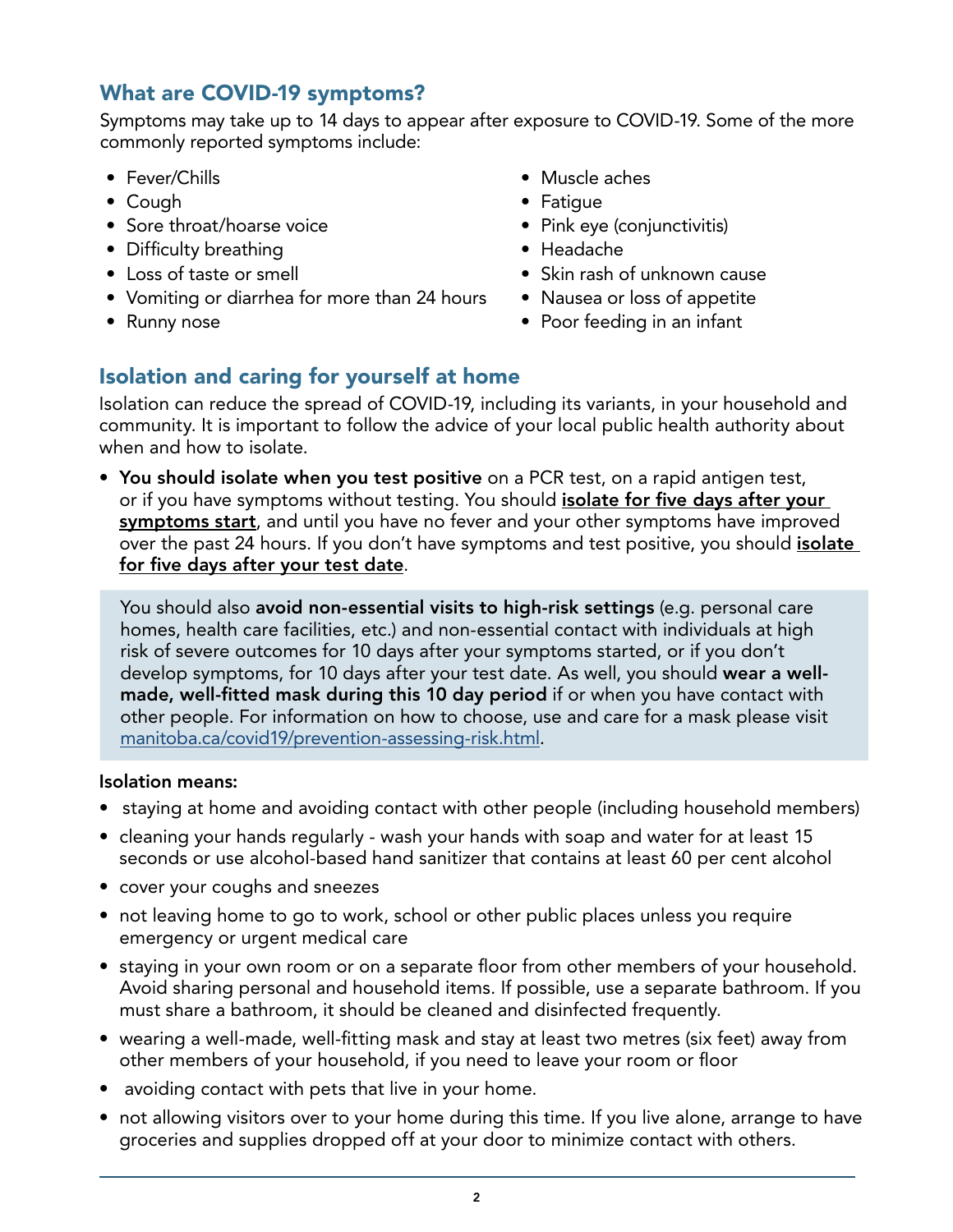### What are COVID-19 symptoms?

Symptoms may take up to 14 days to appear after exposure to COVID-19. Some of the more commonly reported symptoms include:

- Fever/Chills
- Cough
- Sore throat/hoarse voice
- Difficulty breathing
- Loss of taste or smell
- Vomiting or diarrhea for more than 24 hours
- Runny nose
- Muscle aches
- Fatigue
- Pink eye (conjunctivitis)
- Headache
- Skin rash of unknown cause
- Nausea or loss of appetite
- Poor feeding in an infant

# Isolation and caring for yourself at home

Isolation can reduce the spread of COVID-19, including its variants, in your household and community. It is important to follow the advice of your local public health authority about when and how to isolate.

• You should isolate when you test positive on a PCR test, on a rapid antigen test, or if you have symptoms without testing. You should *isolate for five days after your* symptoms start, and until you have no fever and your other symptoms have improved over the past 24 hours. If you don't have symptoms and test positive, you should *isolate* for five days after your test date.

You should also avoid non-essential visits to high-risk settings (e.g. personal care homes, health care facilities, etc.) and non-essential contact with individuals at high risk of severe outcomes for 10 days after your symptoms started, or if you don't develop symptoms, for 10 days after your test date. As well, you should wear a wellmade, well-fitted mask during this 10 day period if or when you have contact with other people. For information on how to choose, use and care for a mask please visit [manitoba.ca/covid19/prevention-assessing-risk.html.](http://manitoba.ca/covid19/prevention-assessing-risk.html)

#### Isolation means:

- staying at home and avoiding contact with other people (including household members)
- cleaning your hands regularly wash your hands with soap and water for at least 15 seconds or use alcohol-based hand sanitizer that contains at least 60 per cent alcohol
- cover your coughs and sneezes
- not leaving home to go to work, school or other public places unless you require emergency or urgent medical care
- staying in your own room or on a separate floor from other members of your household. Avoid sharing personal and household items. If possible, use a separate bathroom. If you must share a bathroom, it should be cleaned and disinfected frequently.
- wearing a well-made, well-fitting mask and stay at least two metres (six feet) away from other members of your household, if you need to leave your room or floor
- avoiding contact with pets that live in your home.
- not allowing visitors over to your home during this time. If you live alone, arrange to have groceries and supplies dropped off at your door to minimize contact with others.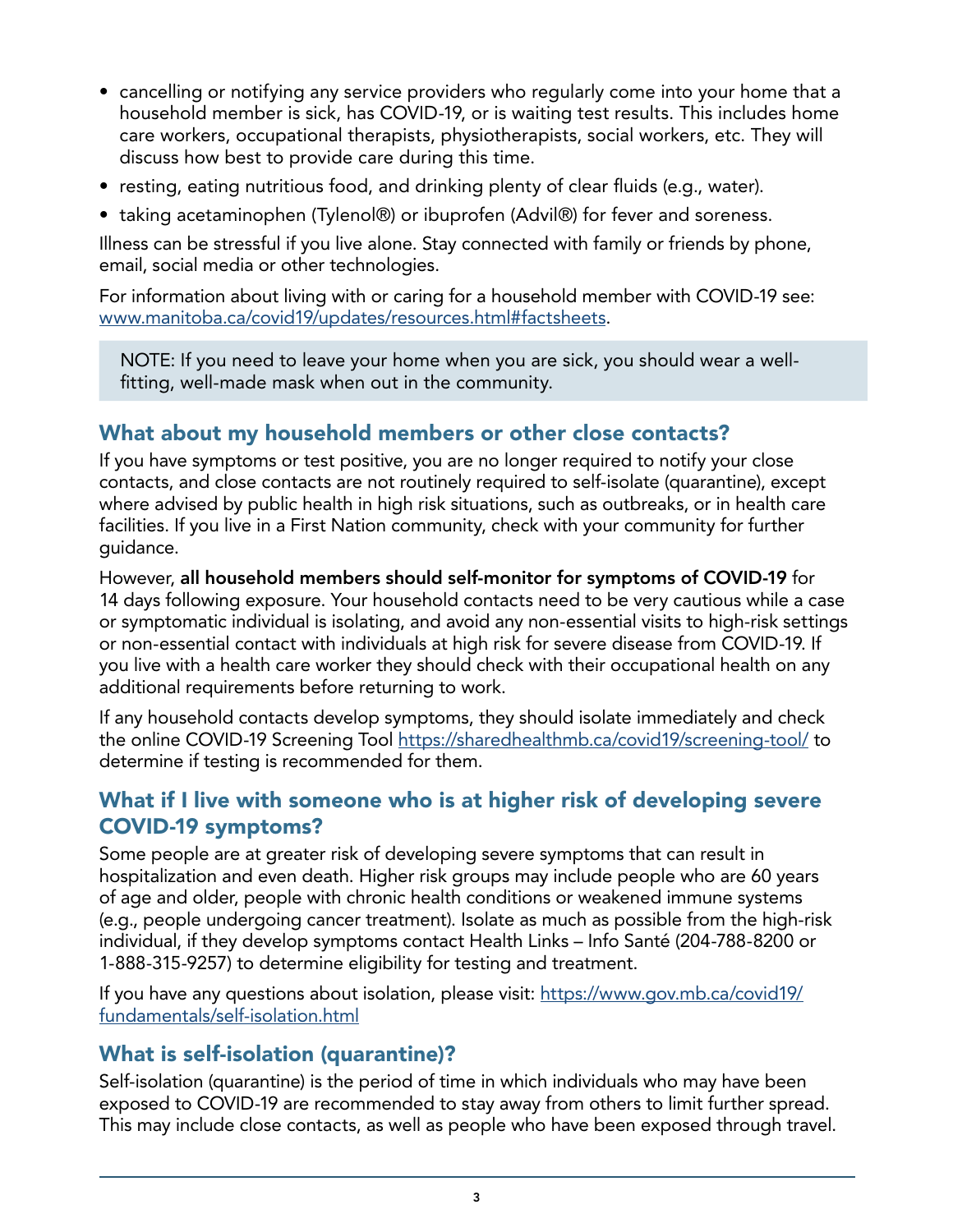- cancelling or notifying any service providers who regularly come into your home that a household member is sick, has COVID-19, or is waiting test results. This includes home care workers, occupational therapists, physiotherapists, social workers, etc. They will discuss how best to provide care during this time.
- resting, eating nutritious food, and drinking plenty of clear fluids (e.g., water).
- taking acetaminophen (Tylenol®) or ibuprofen (Advil®) for fever and soreness.

Illness can be stressful if you live alone. Stay connected with family or friends by phone, email, social media or other technologies.

For information about living with or caring for a household member with COVID-19 see: [www.manitoba.ca/covid19/updates/resources.html#factsheets](http://www.manitoba.ca/covid19/updates/resources.html#factsheets).

NOTE: If you need to leave your home when you are sick, you should wear a wellfitting, well-made mask when out in the community.

#### What about my household members or other close contacts?

If you have symptoms or test positive, you are no longer required to notify your close contacts, and close contacts are not routinely required to self-isolate (quarantine), except where advised by public health in high risk situations, such as outbreaks, or in health care facilities. If you live in a First Nation community, check with your community for further guidance.

However, all household members should self-monitor for symptoms of COVID-19 for 14 days following exposure. Your household contacts need to be very cautious while a case or symptomatic individual is isolating, and avoid any non-essential visits to high-risk settings or non-essential contact with individuals at high risk for severe disease from COVID-19. If you live with a health care worker they should check with their occupational health on any additional requirements before returning to work.

If any household contacts develop symptoms, they should isolate immediately and check the online COVID-19 Screening Tool<https://sharedhealthmb.ca/covid19/screening-tool/>to determine if testing is recommended for them.

#### What if I live with someone who is at higher risk of developing severe COVID-19 symptoms?

Some people are at greater risk of developing severe symptoms that can result in hospitalization and even death. Higher risk groups may include people who are 60 years of age and older, people with chronic health conditions or weakened immune systems (e.g., people undergoing cancer treatment). Isolate as much as possible from the high-risk individual, if they develop symptoms contact Health Links – Info Santé (204-788-8200 or 1-888-315-9257) to determine eligibility for testing and treatment.

If you have any questions about isolation, please visit: [https://www.gov.mb.ca/covid19/](https://www.gov.mb.ca/covid19/fundamentals/self-isolation.html) [fundamentals/self-isolation.html](https://www.gov.mb.ca/covid19/fundamentals/self-isolation.html)

#### What is self-isolation (quarantine)?

Self-isolation (quarantine) is the period of time in which individuals who may have been exposed to COVID-19 are recommended to stay away from others to limit further spread. This may include close contacts, as well as people who have been exposed through travel.